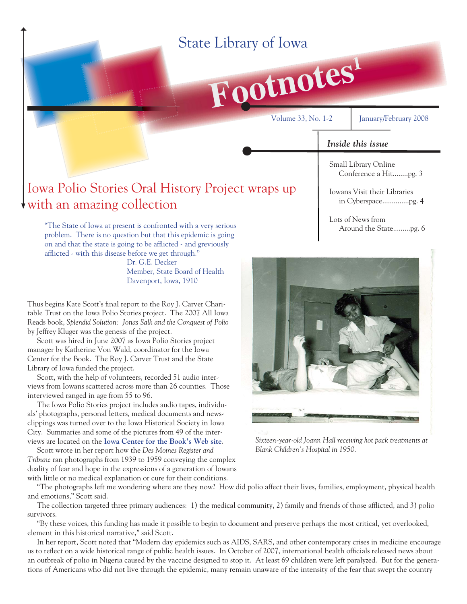# State Library of Iowa

**Footnotes<sup>1</sup>**

Volume 33, No. 1-2 January/February 2008

### *Inside this issue*

Small Library Online Conference a Hit........pg. 3

## Iowa Polio Stories Oral History Project wraps up with an amazing collection

"The State of Iowa at present is confronted with a very serious problem. There is no question but that this epidemic is going on and that the state is going to be afflicted - and greviously afflicted - with this disease before we get through."

> Dr. G.E. Decker Member, State Board of Health Davenport, Iowa, 1910

Thus begins Kate Scott's final report to the Roy J. Carver Charitable Trust on the Iowa Polio Stories project. The 2007 All Iowa Reads book, *Splendid Solution: Jonas Salk and the Conquest of Polio* by Jeffrey Kluger was the genesis of the project.

 Scott was hired in June 2007 as Iowa Polio Stories project manager by Katherine Von Wald, coordinator for the Iowa Center for the Book. The Roy J. Carver Trust and the State Library of Iowa funded the project.

 Scott, with the help of volunteers, recorded 51 audio interviews from Iowans scattered across more than 26 counties. Those interviewed ranged in age from 55 to 96.

 The Iowa Polio Stories project includes audio tapes, individuals' photographs, personal letters, medical documents and newsclippings was turned over to the Iowa Historical Society in Iowa City. Summaries and some of the pictures from 49 of the interviews are located on the **[Iowa Center for the Book's Web site](http://www.iowacenterforthebook.org/archive/2008/02/07iowapolio)**.

 Scott wrote in her report how the *Des Moines Register and Tribune* ran photographs from 1939 to 1959 conveying the complex duality of fear and hope in the expressions of a generation of Iowans with little or no medical explanation or cure for their conditions.

Iowans Visit their Libraries in Cyberspace..............pg. 4

Lots of News from Around the State.........pg. 6



*Sixteen-year-old Joann Hall receiving hot pack treatments at Blank Children's Hospital in 1950.*

 "The photographs left me wondering where are they now? How did polio affect their lives, families, employment, physical health and emotions," Scott said.

The collection targeted three primary audiences: 1) the medical community, 2) family and friends of those afflicted, and 3) polio survivors.

 "By these voices, this funding has made it possible to begin to document and preserve perhaps the most critical, yet overlooked, element in this historical narrative," said Scott.

 In her report, Scott noted that "Modern day epidemics such as AIDS, SARS, and other contemporary crises in medicine encourage us to reflect on a wide historical range of public health issues. In October of 2007, international health officials released news about an outbreak of polio in Nigeria caused by the vaccine designed to stop it. At least 69 children were left paralyzed. But for the generations of Americans who did not live through the epidemic, many remain unaware of the intensity of the fear that swept the country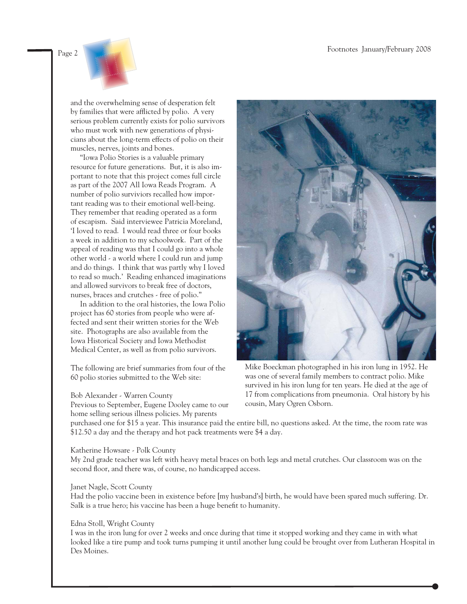

and the overwhelming sense of desperation felt by families that were afflicted by polio. A very serious problem currently exists for polio survivors who must work with new generations of physicians about the long-term effects of polio on their muscles, nerves, joints and bones.

 "Iowa Polio Stories is a valuable primary resource for future generations. But, it is also important to note that this project comes full circle as part of the 2007 All Iowa Reads Program. A number of polio surviviors recalled how important reading was to their emotional well-being. They remember that reading operated as a form of escapism. Said interviewee Patricia Moreland, 'I loved to read. I would read three or four books a week in addition to my schoolwork. Part of the appeal of reading was that I could go into a whole other world - a world where I could run and jump and do things. I think that was partly why I loved to read so much.' Reading enhanced imaginations and allowed survivors to break free of doctors, nurses, braces and crutches - free of polio."

 In addition to the oral histories, the Iowa Polio project has 60 stories from people who were affected and sent their written stories for the Web site. Photographs are also available from the Iowa Historical Society and Iowa Methodist Medical Center, as well as from polio survivors.

The following are brief summaries from four of the 60 polio stories submitted to the Web site:

#### Bob Alexander - Warren County

Previous to September, Eugene Dooley came to our home selling serious illness policies. My parents



Mike Boeckman photographed in his iron lung in 1952. He was one of several family members to contract polio. Mike survived in his iron lung for ten years. He died at the age of 17 from complications from pneumonia. Oral history by his cousin, Mary Ogren Osborn.

purchased one for \$15 a year. This insurance paid the entire bill, no questions asked. At the time, the room rate was \$12.50 a day and the therapy and hot pack treatments were \$4 a day.

### Katherine Howsare - Polk County

My 2nd grade teacher was left with heavy metal braces on both legs and metal crutches. Our classroom was on the second floor, and there was, of course, no handicapped access.

### Janet Nagle, Scott County

Had the polio vaccine been in existence before [my husband's] birth, he would have been spared much suffering. Dr. Salk is a true hero; his vaccine has been a huge benefit to humanity.

### Edna Stoll, Wright County

I was in the iron lung for over 2 weeks and once during that time it stopped working and they came in with what looked like a tire pump and took turns pumping it until another lung could be brought over from Lutheran Hospital in Des Moines.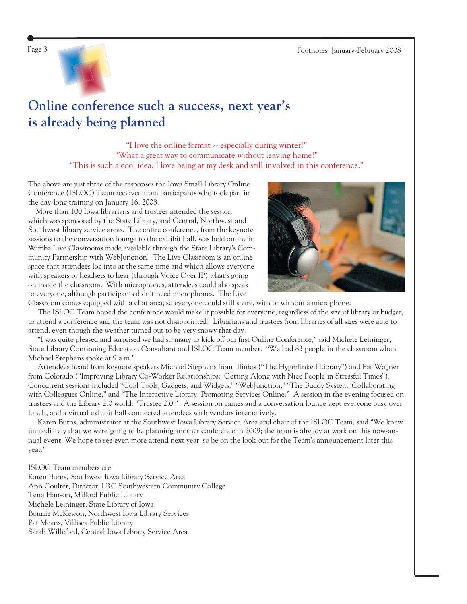

# **Online conference such a success, next year's is already being planned**

"I love the online format -- especially during winter!" "What a great way to communicate without leaving home!" "This is such a cool idea. I love being at my desk and still involved in this conference."

The above are just three of the responses the Iowa Small Library Online Conference (ISLOC) Team received from participants who took part in the day-long training on January 16, 2008.

 More than 100 Iowa librarians and trustees attended the session, which was sponsored by the State Library, and Central, Northwest and Southwest library service areas. The entire conference, from the keynote sessions to the conversation lounge to the exhibit hall, was held online in Wimba Live Classrooms made available through the State Library's Community Partnership with WebJunction. The Live Classroom is an online space that attendees log into at the same time and which allows everyone with speakers or headsets to hear (through Voice Over IP) what's going on inside the classroom. With microphones, attendees could also speak to everyone, although participants didn't need microphones. The Live



Classroom comes equipped with a chat area, so everyone could still share, with or without a microphone. The ISLOC Team hoped the conference would make it possible for everyone, regardless of the size of library or budget, to attend a conference and the team was not disappointed! Librarians and trustees from libraries of all sizes were able to attend, even though the weather turned out to be very snowy that day.

"I was quite pleased and surprised we had so many to kick off our first Online Conference," said Michele Leininger, State Library Continuing Education Consultant and ISLOC Team member. "We had 83 people in the classroom when Michael Stephens spoke at 9 a.m."

 Attendees heard from keynote speakers Michael Stephens from Illinios ("The Hyperlinked Library") and Pat Wagner from Colorado ("Improving Library Co-Worker Relationships: Getting Along with Nice People in Stressful Times"). Concurrent sessions included "Cool Tools, Gadgets, and Widgets," "WebJunction," "The Buddy System: Collaborating with Colleagues Online," and "The Interactive Library: Promoting Services Online." A session in the evening focused on trustees and the Library 2.0 world: "Trustee 2.0." A session on games and a conversation lounge kept everyone busy over lunch, and a virtual exhibit hall connected attendees with vendors interactively.

 Karen Burns, administrator at the Southwest Iowa Library Service Area and chair of the ISLOC Team, said "We knew immediately that we were going to be planning another conference in 2009; the team is already at work on this now-annual event. We hope to see even more attend next year, so be on the look-out for the Team's announcement later this year."

ISLOC Team members are: Karen Burns, Southwest Iowa Library Service Area Ann Coulter, Director, LRC Southwestern Community College Tena Hanson, Milford Public Library Michele Leininger, State Library of Iowa Bonnie McKewon, Northwest Iowa Library Services Pat Means, Villisca Public Library Sarah Willeford, Central Iowa Library Service Area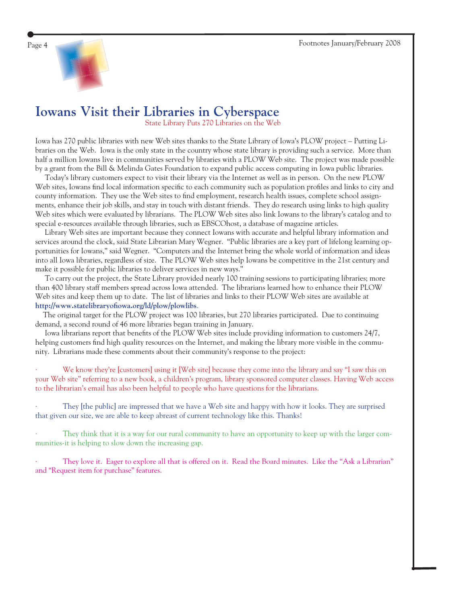

## **Iowans Visit their Libraries in Cyberspace**

State Library Puts 270 Libraries on the Web

Iowa has 270 public libraries with new Web sites thanks to the State Library of Iowa's PLOW project – Putting Libraries on the Web. Iowa is the only state in the country whose state library is providing such a service. More than half a million Iowans live in communities served by libraries with a PLOW Web site. The project was made possible by a grant from the Bill & Melinda Gates Foundation to expand public access computing in Iowa public libraries.

 Today's library customers expect to visit their library via the Internet as well as in person. On the new PLOW Web sites, Iowans find local information specific to each community such as population profiles and links to city and county information. They use the Web sites to find employment, research health issues, complete school assignments, enhance their job skills, and stay in touch with distant friends. They do research using links to high quality Web sites which were evaluated by librarians. The PLOW Web sites also link Iowans to the library's catalog and to special e-resources available through libraries, such as EBSCOhost, a database of magazine articles.

 Library Web sites are important because they connect Iowans with accurate and helpful library information and services around the clock, said State Librarian Mary Wegner. "Public libraries are a key part of lifelong learning opportunities for Iowans," said Wegner. "Computers and the Internet bring the whole world of information and ideas into all Iowa libraries, regardless of size. The PLOW Web sites help Iowans be competitive in the 21st century and make it possible for public libraries to deliver services in new ways."

 To carry out the project, the State Library provided nearly 100 training sessions to participating libraries; more than 400 library staff members spread across Iowa attended. The librarians learned how to enhance their PLOW Web sites and keep them up to date. The list of libraries and links to their PLOW Web sites are available at http://www.statelibraryofiowa.org/ld/plow/plowlibs.

 The original target for the PLOW project was 100 libraries, but 270 libraries participated. Due to continuing demand, a second round of 46 more libraries began training in January.

Iowa librarians report that benefits of the PLOW Web sites include providing information to customers 24/7, helping customers find high quality resources on the Internet, and making the library more visible in the community. Librarians made these comments about their community's response to the project:

We know they're [customers] using it [Web site] because they come into the library and say "I saw this on your Web site" referring to a new book, a children's program, library sponsored computer classes. Having Web access to the librarian's email has also been helpful to people who have questions for the librarians.

They [the public] are impressed that we have a Web site and happy with how it looks. They are surprised that given our size, we are able to keep abreast of current technology like this. Thanks!

They think that it is a way for our rural community to have an opportunity to keep up with the larger communities-it is helping to slow down the increasing gap.

They love it. Eager to explore all that is offered on it. Read the Board minutes. Like the "Ask a Librarian" and "Request item for purchase" features.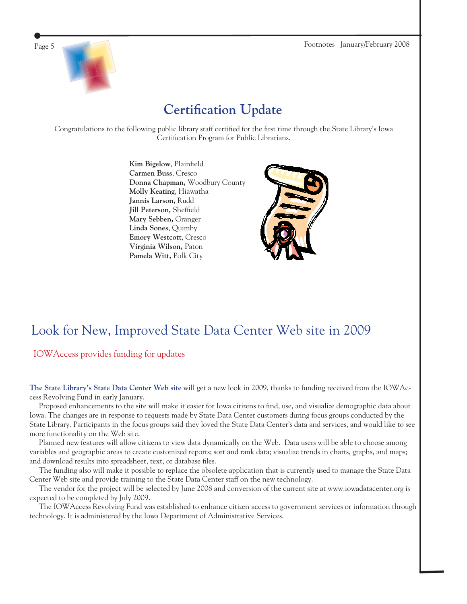

# **Certification Update**

Congratulations to the following public library staff certified for the first time through the State Library's Iowa Certification Program for Public Librarians.

> **Kim Bigelow**, Plainfield **Carmen Buss**, Cresco **Donna Chapman,** Woodbury County **Molly Keating**, Hiawatha **Jannis Larson,** Rudd **Jill Peterson, Sheffield Mary Sebben,** Granger **Linda Sones**, Quimby **Emory Westcott**, Cresco **Virginia Wilson,** Paton **Pamela Witt,** Polk City



# Look for New, Improved State Data Center Web site in 2009

## IOWAccess provides funding for updates

**[The State Library's State Data Center Web site](http://www.iowadatacenter.org/)** will get a new look in 2009, thanks to funding received from the IOWAccess Revolving Fund in early January.

Proposed enhancements to the site will make it easier for Iowa citizens to find, use, and visualize demographic data about Iowa. The changes are in response to requests made by State Data Center customers during focus groups conducted by the State Library. Participants in the focus groups said they loved the State Data Center's data and services, and would like to see more functionality on the Web site.

 Planned new features will allow citizens to view data dynamically on the Web. Data users will be able to choose among variables and geographic areas to create customized reports; sort and rank data; visualize trends in charts, graphs, and maps; and download results into spreadsheet, text, or database files.

 The funding also will make it possible to replace the obsolete application that is currently used to manage the State Data Center Web site and provide training to the State Data Center staff on the new technology.

 The vendor for the project will be selected by June 2008 and conversion of the current site at www.iowadatacenter.org is expected to be completed by July 2009.

 The IOWAccess Revolving Fund was established to enhance citizen access to government services or information through technology. It is administered by the Iowa Department of Administrative Services.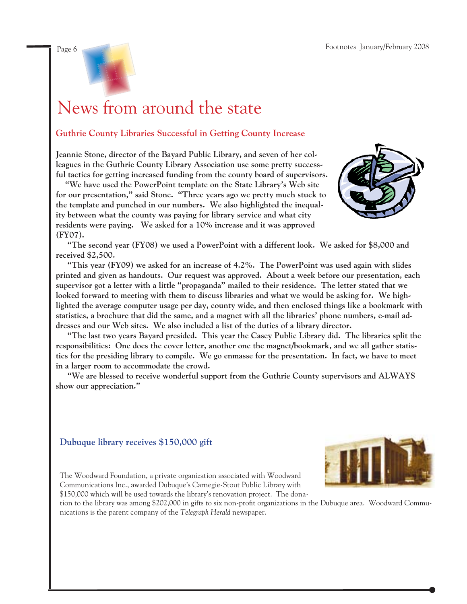

# News from around the state

## **Guthrie County Libraries Successful in Getting County Increase**

**Jeannie Stone, director of the Bayard Public Library, and seven of her colleagues in the Guthrie County Library Association use some pretty successful tactics for getting increased funding from the county board of supervisors.**

 **"We have used the PowerPoint template on the State Library's Web site for our presentation," said Stone. "Three years ago we pretty much stuck to the template and punched in our numbers. We also highlighted the inequality between what the county was paying for library service and what city residents were paying. We asked for a 10% increase and it was approved (FY07).**



 **"The second year (FY08) we used a PowerPoint with a different look. We asked for \$8,000 and received \$2,500.** 

 **"This year (FY09) we asked for an increase of 4.2%. The PowerPoint was used again with slides printed and given as handouts. Our request was approved. About a week before our presentation, each supervisor got a letter with a little "propaganda" mailed to their residence. The letter stated that we looked forward to meeting with them to discuss libraries and what we would be asking for. We highlighted the average computer usage per day, county wide, and then enclosed things like a bookmark with statistics, a brochure that did the same, and a magnet with all the libraries' phone numbers, e-mail addresses and our Web sites. We also included a list of the duties of a library director.**

 **"The last two years Bayard presided. This year the Casey Public Library did. The libraries split the responsibilities: One does the cover letter, another one the magnet/bookmark, and we all gather statistics for the presiding library to compile. We go enmasse for the presentation. In fact, we have to meet in a larger room to accommodate the crowd.**

 **"We are blessed to receive wonderful support from the Guthrie County supervisors and ALWAYS show our appreciation."** 

## **Dubuque library receives \$150,000 gift**



The Woodward Foundation, a private organization associated with Woodward Communications Inc., awarded Dubuque's Carnegie-Stout Public Library with

\$150,000 which will be used towards the library's renovation project. The donation to the library was among \$202,000 in gifts to six non-profit organizations in the Dubuque area. Woodward Communications is the parent company of the *Telegraph Herald* newspaper.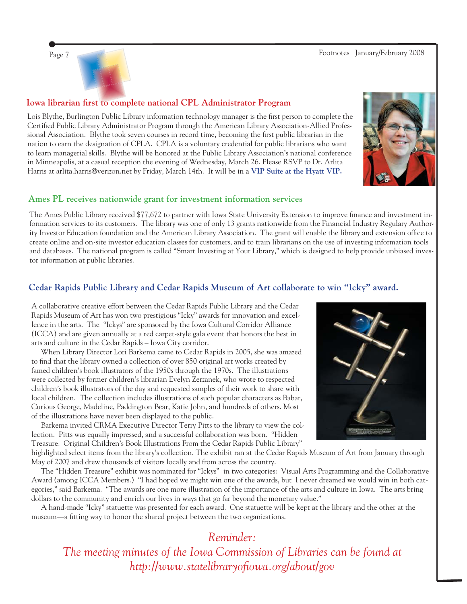Page 7 Footnotes January/February 2008



## **Iowa librarian first to complete national CPL Administrator Program**

Lois Blythe, Burlington Public Library information technology manager is the first person to complete the Certified Public Library Administrator Program through the American Library Association-Allied Professional Association. Blythe took seven courses in record time, becoming the first public librarian in the nation to earn the designation of CPLA. CPLA is a voluntary credential for public librarians who want to learn managerial skills. Blythe will be honored at the Public Library Association's national conference in Minneapolis, at a casual reception the evening of Wednesday, March 26. Please RSVP to Dr. Arlita Harris at arlita.harris@verizon.net by Friday, March 14th. It will be in a **[VIP Suite at the Hyatt VIP.](http://minneapolis.hyatt.com/hyatt/hotels/rooms/room-description.jsp?chooseLocale=&start=11)**



### **Ames PL receives nationwide grant for investment information services**

The Ames Public Library received \$77,672 to partner with Iowa State University Extension to improve finance and investment information services to its customers. The library was one of only 13 grants nationwide from the Financial Industry Regulary Authority Investor Education foundation and the American Library Association. The grant will enable the library and extension office to create online and on-site investor education classes for customers, and to train librarians on the use of investing information tools and databases. The national program is called "Smart Investing at Your Library," which is designed to help provide unbiased investor information at public libraries.

### **Cedar Rapids Public Library and Cedar Rapids Museum of Art collaborate to win "Icky" award.**

A collaborative creative effort between the Cedar Rapids Public Library and the Cedar Rapids Museum of Art has won two prestigious "Icky" awards for innovation and excellence in the arts. The "Ickys" are sponsored by the Iowa Cultural Corridor Alliance (ICCA) and are given annually at a red carpet-style gala event that honors the best in arts and culture in the Cedar Rapids – Iowa City corridor.

 When Library Director Lori Barkema came to Cedar Rapids in 2005, she was amazed to find that the library owned a collection of over 850 original art works created by famed children's book illustrators of the 1950s through the 1970s. The illustrations were collected by former children's librarian Evelyn Zerzanek, who wrote to respected children's book illustrators of the day and requested samples of their work to share with local children. The collection includes illustrations of such popular characters as Babar, Curious George, Madeline, Paddington Bear, Katie John, and hundreds of others. Most of the illustrations have never been displayed to the public.

 Barkema invited CRMA Executive Director Terry Pitts to the library to view the collection. Pitts was equally impressed, and a successful collaboration was born. "Hidden Treasure: Original Children's Book Illustrations From the Cedar Rapids Public Library"



highlighted select items from the library's collection. The exhibit ran at the Cedar Rapids Museum of Art from January through May of 2007 and drew thousands of visitors locally and from across the country.

 The "Hidden Treasure" exhibit was nominated for "Ickys" in two categories: Visual Arts Programming and the Collaborative Award (among ICCA Members.) "I had hoped we might win one of the awards, but I never dreamed we would win in both categories," said Barkema. "The awards are one more illustration of the importance of the arts and culture in Iowa. The arts bring dollars to the community and enrich our lives in ways that go far beyond the monetary value."

 A hand-made "Icky" statuette was presented for each award. One statuette will be kept at the library and the other at the museum—a fitting way to honor the shared project between the two organizations.

## *Reminder:*

*The meeting minutes of the Iowa Commission of Libraries can be found at [http://www.statelibraryofi owa.org/about/gov](http://www.statelibraryofiowa.org/about/gov)*